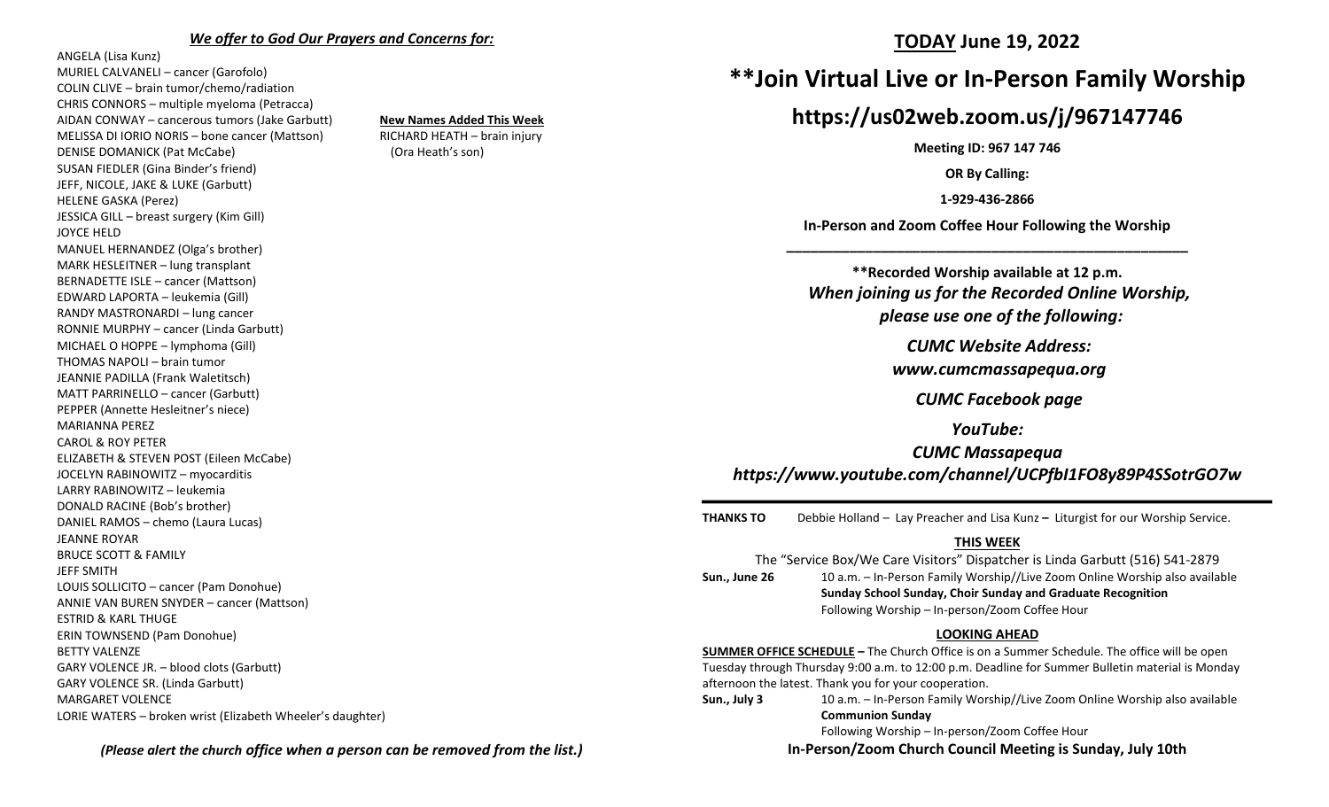#### *We offer to God Our Prayers and Concerns for:*

ANGELA (Lisa Kunz) MURIEL CALVANELI – cancer (Garofolo) COLIN CLIVE – brain tumor/chemo/radiation CHRIS CONNORS – multiple myeloma (Petracca) AIDAN CONWAY – cancerous tumors (Jake Garbutt) **New Names Added This Week** MELISSA DI IORIO NORIS – bone cancer (Mattson) RICHARD HEATH – brain injury DENISE DOMANICK (Pat McCabe) (Ora Heath's son) SUSAN FIEDLER (Gina Binder's friend) JEFF, NICOLE, JAKE & LUKE (Garbutt) HELENE GASKA (Perez) JESSICA GILL – breast surgery (Kim Gill) JOYCE HELD MANUEL HERNANDEZ (Olga's brother) MARK HESLEITNER – lung transplant BERNADETTE ISLE – cancer (Mattson) EDWARD LAPORTA – leukemia (Gill) RANDY MASTRONARDI – lung cancer RONNIE MURPHY – cancer (Linda Garbutt) MICHAEL O HOPPE – lymphoma (Gill) THOMAS NAPOLI – brain tumor JEANNIE PADILLA (Frank Waletitsch) MATT PARRINELLO – cancer (Garbutt) PEPPER (Annette Hesleitner's niece) MARIANNA PEREZ CAROL & ROY PETER ELIZABETH & STEVEN POST (Eileen McCabe) JOCELYN RABINOWITZ – myocarditis LARRY RABINOWITZ – leukemia DONALD RACINE (Bob's brother) DANIEL RAMOS – chemo (Laura Lucas) JEANNE ROYAR BRUCE SCOTT & FAMILY JEFF SMITH LOUIS SOLLICITO – cancer (Pam Donohue) ANNIE VAN BUREN SNYDER – cancer (Mattson) ESTRID & KARL THUGE ERIN TOWNSEND (Pam Donohue) BETTY VALENZE GARY VOLENCE JR. – blood clots (Garbutt) GARY VOLENCE SR. (Linda Garbutt) MARGARET VOLENCE LORIE WATERS – broken wrist (Elizabeth Wheeler's daughter)

### **TODAY June 19, 2022**

# **\*\*Join Virtual Live or In-Person Family Worship**

# **https://us02web.zoom.us/j/967147746**

**Meeting ID: 967 147 746**

**OR By Calling:**

**1-929-436-2866**

**In-Person and Zoom Coffee Hour Following the Worship \_\_\_\_\_\_\_\_\_\_\_\_\_\_\_\_\_\_\_\_\_\_\_\_\_\_\_\_\_\_\_\_\_\_\_\_\_\_\_\_\_\_\_\_\_\_\_\_\_\_\_**

**\*\*Recorded Worship available at 12 p.m.** *When joining us for the Recorded Online Worship, please use one of the following:*

*CUMC Website Address:*

*[www.cumcmassapequa.org](about:blank)*

*CUMC Facebook page*

*YouTube:*

*CUMC Massapequa [https://www.youtube.com/channel/UCPfbI1FO8y89P4SSotrGO7w](about:blank)*

**THANKS TO** Debbie Holland – Lay Preacher and Lisa Kunz **–** Liturgist for our Worship Service.

#### **THIS WEEK**

The "Service Box/We Care Visitors" Dispatcher is Linda Garbutt (516) 541-2879 **Sun., June 26** 10 a.m. – In-Person Family Worship//Live Zoom Online Worship also available **Sunday School Sunday, Choir Sunday and Graduate Recognition** Following Worship – In-person/Zoom Coffee Hour

#### **LOOKING AHEAD**

**SUMMER OFFICE SCHEDULE –** The Church Office is on a Summer Schedule. The office will be open Tuesday through Thursday 9:00 a.m. to 12:00 p.m. Deadline for Summer Bulletin material is Monday afternoon the latest. Thank you for your cooperation.

**Sun., July 3** 10 a.m. – In-Person Family Worship//Live Zoom Online Worship also available **Communion Sunday**

Following Worship – In-person/Zoom Coffee Hour

**In-Person/Zoom Church Council Meeting is Sunday, July 10th**

*(Please alert the church office when a person can be removed from the list.)*